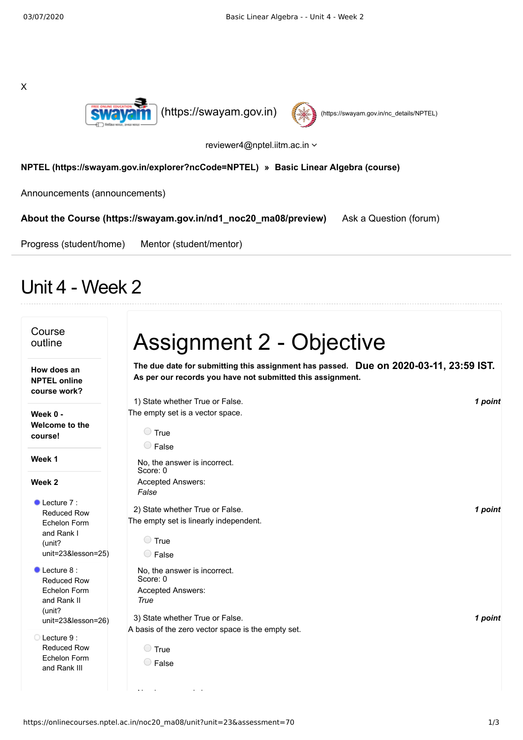



reviewer4@nptel.iitm.ac.in

## **[NPTEL \(https://swayam.gov.in/explorer?ncCode=NPTEL\)](https://swayam.gov.in/explorer?ncCode=NPTEL) » [Basic Linear Algebra \(course\)](https://onlinecourses.nptel.ac.in/noc20_ma08/course)**

[Announcements \(announcements\)](https://onlinecourses.nptel.ac.in/noc20_ma08/announcements)

**[About the Course \(https://swayam.gov.in/nd1\\_noc20\\_ma08/preview\)](https://swayam.gov.in/nd1_noc20_ma08/preview)** [Ask a Question \(forum\)](https://onlinecourses.nptel.ac.in/noc20_ma08/forum)

[Progress \(student/home\)](https://onlinecourses.nptel.ac.in/noc20_ma08/student/home) [Mentor \(student/mentor\)](https://onlinecourses.nptel.ac.in/noc20_ma08/student/mentor)

## Unit 4 - Week 2

| Course<br>outline                                    | <b>Assignment 2 - Objective</b>                                                                                                                     |         |
|------------------------------------------------------|-----------------------------------------------------------------------------------------------------------------------------------------------------|---------|
| How does an<br><b>NPTEL online</b><br>course work?   | The due date for submitting this assignment has passed. Due on 2020-03-11, 23:59 IST.<br>As per our records you have not submitted this assignment. |         |
|                                                      | 1) State whether True or False.                                                                                                                     | 1 point |
| Week 0 -                                             | The empty set is a vector space.                                                                                                                    |         |
| Welcome to the<br>course!                            | $\bigcirc$ True                                                                                                                                     |         |
|                                                      | $\bigcirc$ False                                                                                                                                    |         |
| Week 1                                               | No, the answer is incorrect.<br>Score: 0                                                                                                            |         |
| Week 2                                               | Accepted Answers:                                                                                                                                   |         |
|                                                      | False                                                                                                                                               |         |
| $\bullet$ Lecture 7 :<br>Reduced Row<br>Echelon Form | 2) State whether True or False.<br>The empty set is linearly independent.                                                                           | 1 point |
| and Rank I                                           | $\bigcirc$ True                                                                                                                                     |         |
| (unit?                                               |                                                                                                                                                     |         |
| unit=23&lesson=25)                                   | $\bigcirc$ False                                                                                                                                    |         |
| $\bullet$ Lecture 8 :<br>Reduced Row                 | No, the answer is incorrect.<br>Score: 0                                                                                                            |         |
| Echelon Form                                         | Accepted Answers:                                                                                                                                   |         |
| and Rank II                                          | True                                                                                                                                                |         |
| (unit?                                               |                                                                                                                                                     |         |
| unit=23&lesson=26)                                   | 3) State whether True or False.                                                                                                                     | 1 point |
| ◯ Lecture 9:                                         | A basis of the zero vector space is the empty set.                                                                                                  |         |
| <b>Reduced Row</b>                                   | $\bigcirc$ True                                                                                                                                     |         |
| Echelon Form<br>and Rank III                         | $\bigcirc$ False                                                                                                                                    |         |
|                                                      |                                                                                                                                                     |         |
|                                                      |                                                                                                                                                     |         |